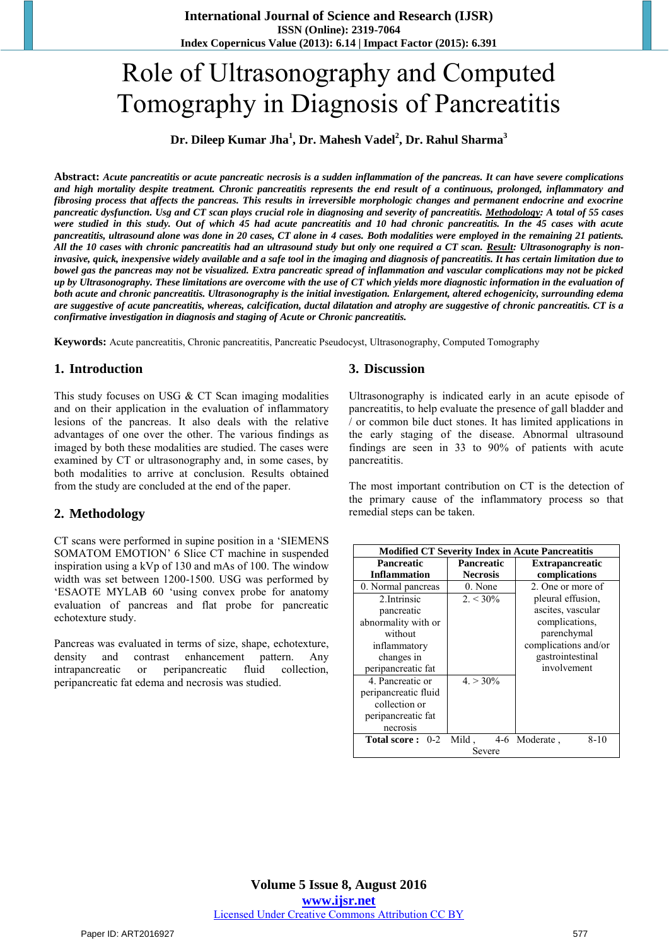# Role of Ultrasonography and Computed Tomography in Diagnosis of Pancreatitis

# **Dr. Dileep Kumar Jha<sup>1</sup> , Dr. Mahesh Vadel<sup>2</sup> , Dr. Rahul Sharma<sup>3</sup>**

**Abstract:** *Acute pancreatitis or acute pancreatic necrosis is a sudden inflammation of the pancreas. It can have severe complications and high mortality despite treatment. Chronic pancreatitis represents the end result of a continuous, prolonged, inflammatory and fibrosing process that affects the pancreas. This results in irreversible morphologic changes and permanent endocrine and exocrine pancreatic dysfunction. Usg and CT scan plays crucial role in diagnosing and severity of pancreatitis. Methodology: A total of 55 cases were studied in this study. Out of which 45 had acute pancreatitis and 10 had chronic pancreatitis. In the 45 cases with acute pancreatitis, ultrasound alone was done in 20 cases, CT alone in 4 cases. Both modalities were employed in the remaining 21 patients. All the 10 cases with chronic pancreatitis had an ultrasound study but only one required a CT scan. Result: Ultrasonography is noninvasive, quick, inexpensive widely available and a safe tool in the imaging and diagnosis of pancreatitis. It has certain limitation due to bowel gas the pancreas may not be visualized. Extra pancreatic spread of inflammation and vascular complications may not be picked up by Ultrasonography. These limitations are overcome with the use of CT which yields more diagnostic information in the evaluation of both acute and chronic pancreatitis. Ultrasonography is the initial investigation. Enlargement, altered echogenicity, surrounding edema are suggestive of acute pancreatitis, whereas, calcification, ductal dilatation and atrophy are suggestive of chronic pancreatitis. CT is a confirmative investigation in diagnosis and staging of Acute or Chronic pancreatitis.*

**Keywords:** Acute pancreatitis, Chronic pancreatitis, Pancreatic Pseudocyst, Ultrasonography, Computed Tomography

## **1. Introduction**

This study focuses on USG & CT Scan imaging modalities and on their application in the evaluation of inflammatory lesions of the pancreas. It also deals with the relative advantages of one over the other. The various findings as imaged by both these modalities are studied. The cases were examined by CT or ultrasonography and, in some cases, by both modalities to arrive at conclusion. Results obtained from the study are concluded at the end of the paper.

## **2. Methodology**

CT scans were performed in supine position in a 'SIEMENS SOMATOM EMOTION' 6 Slice CT machine in suspended inspiration using a kVp of 130 and mAs of 100. The window width was set between 1200-1500. USG was performed by 'ESAOTE MYLAB 60 'using convex probe for anatomy evaluation of pancreas and flat probe for pancreatic echotexture study.

Pancreas was evaluated in terms of size, shape, echotexture, density and contrast enhancement pattern. Any intrapancreatic or peripancreatic fluid collection, peripancreatic fat edema and necrosis was studied.

#### **3. Discussion**

Ultrasonography is indicated early in an acute episode of pancreatitis, to help evaluate the presence of gall bladder and / or common bile duct stones. It has limited applications in the early staging of the disease. Abnormal ultrasound findings are seen in 33 to 90% of patients with acute pancreatitis.

The most important contribution on CT is the detection of the primary cause of the inflammatory process so that remedial steps can be taken.

| <b>Modified CT Severity Index in Acute Pancreatitis</b>                                                          |                               |                                                                                                                                    |  |  |
|------------------------------------------------------------------------------------------------------------------|-------------------------------|------------------------------------------------------------------------------------------------------------------------------------|--|--|
| <b>Pancreatic</b><br>Inflammation                                                                                | Pancreatic<br><b>Necrosis</b> | <b>Extrapancreatic</b><br>complications                                                                                            |  |  |
| 0. Normal pancreas                                                                                               | 0. None                       | 2. One or more of                                                                                                                  |  |  |
| 2. Intrinsic<br>pancreatic<br>abnormality with or<br>without<br>inflammatory<br>changes in<br>peripancreatic fat | $2. < 30\%$                   | pleural effusion,<br>ascites, vascular<br>complications,<br>parenchymal<br>complications and/or<br>gastrointestinal<br>involvement |  |  |
| 4. Pancreatic or<br>peripancreatic fluid<br>collection or<br>peripancreatic fat<br>necrosis                      | $4. > 30\%$                   |                                                                                                                                    |  |  |
| <b>Total score: 0-2</b>                                                                                          | Mild,<br>Severe               | $8-10$<br>4-6 Moderate,                                                                                                            |  |  |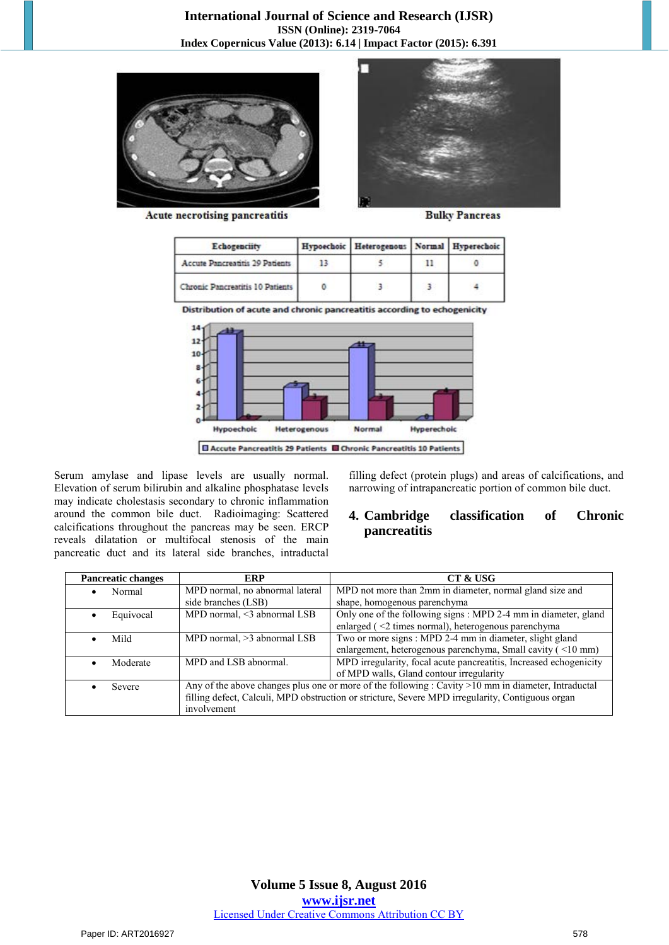

Acute necrotising pancreatitis





| Echogenciity                     | Hypoechoic Heterogenous Normal Hyperechoic |  |
|----------------------------------|--------------------------------------------|--|
| Accute Pancreatitis 29 Patients  |                                            |  |
| Chronic Pancreatitis 10 Patients |                                            |  |

Distribution of acute and chronic pancreatitis according to echogenicity



Serum amylase and lipase levels are usually normal. Elevation of serum bilirubin and alkaline phosphatase levels may indicate cholestasis secondary to chronic inflammation around the common bile duct. Radioimaging: Scattered calcifications throughout the pancreas may be seen. ERCP reveals dilatation or multifocal stenosis of the main pancreatic duct and its lateral side branches, intraductal filling defect (protein plugs) and areas of calcifications, and narrowing of intrapancreatic portion of common bile duct.

# **4. Cambridge classification of Chronic pancreatitis**

| <b>Pancreatic changes</b> | ERP                                                                                                                                                                                                                    | CT & USG                                                                                                                |
|---------------------------|------------------------------------------------------------------------------------------------------------------------------------------------------------------------------------------------------------------------|-------------------------------------------------------------------------------------------------------------------------|
| Normal                    | MPD normal, no abnormal lateral<br>side branches (LSB)                                                                                                                                                                 | MPD not more than 2mm in diameter, normal gland size and<br>shape, homogenous parenchyma                                |
| Equivocal                 | MPD normal, <3 abnormal LSB                                                                                                                                                                                            | Only one of the following signs : MPD 2-4 mm in diameter, gland<br>enlarged (<2 times normal), heterogenous parenchyma  |
| Mild                      | MPD normal, >3 abnormal LSB                                                                                                                                                                                            | Two or more signs : MPD 2-4 mm in diameter, slight gland<br>enlargement, heterogenous parenchyma, Small cavity (<10 mm) |
| Moderate                  | MPD and LSB abnormal.                                                                                                                                                                                                  | MPD irregularity, focal acute pancreatitis, Increased echogenicity<br>of MPD walls, Gland contour irregularity          |
| Severe                    | Any of the above changes plus one or more of the following : Cavity >10 mm in diameter, Intraductal<br>filling defect, Calculi, MPD obstruction or stricture, Severe MPD irregularity, Contiguous organ<br>involvement |                                                                                                                         |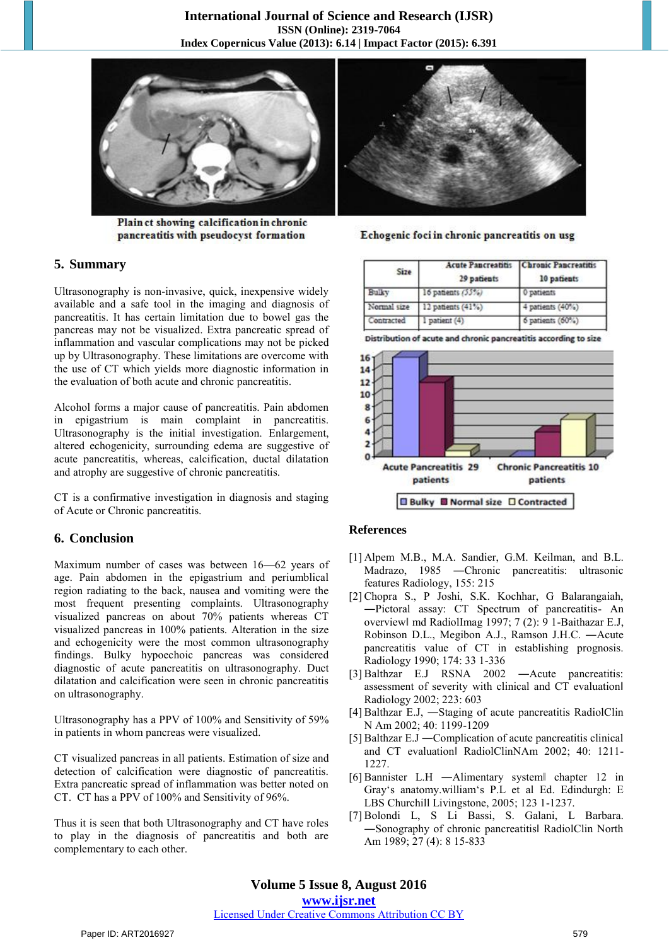

Plain et showing calcification in chronic pancreatitis with pseudocyst formation



Echogenic foci in chronic pancreatitis on usg

## **5. Summary**

Ultrasonography is non-invasive, quick, inexpensive widely available and a safe tool in the imaging and diagnosis of pancreatitis. It has certain limitation due to bowel gas the pancreas may not be visualized. Extra pancreatic spread of inflammation and vascular complications may not be picked up by Ultrasonography. These limitations are overcome with the use of CT which yields more diagnostic information in the evaluation of both acute and chronic pancreatitis.

Alcohol forms a major cause of pancreatitis. Pain abdomen in epigastrium is main complaint in pancreatitis. Ultrasonography is the initial investigation. Enlargement, altered echogenicity, surrounding edema are suggestive of acute pancreatitis, whereas, calcification, ductal dilatation and atrophy are suggestive of chronic pancreatitis.

CT is a confirmative investigation in diagnosis and staging of Acute or Chronic pancreatitis.

#### **6. Conclusion**

Maximum number of cases was between 16—62 years of age. Pain abdomen in the epigastrium and periumblical region radiating to the back, nausea and vomiting were the most frequent presenting complaints. Ultrasonography visualized pancreas on about 70% patients whereas CT visualized pancreas in 100% patients. Alteration in the size and echogenicity were the most common ultrasonography findings. Bulky hypoechoic pancreas was considered diagnostic of acute pancreatitis on ultrasonography. Duct dilatation and calcification were seen in chronic pancreatitis on ultrasonography.

Ultrasonography has a PPV of 100% and Sensitivity of 59% in patients in whom pancreas were visualized.

CT visualized pancreas in all patients. Estimation of size and detection of calcification were diagnostic of pancreatitis. Extra pancreatic spread of inflammation was better noted on CT. CT has a PPV of 100% and Sensitivity of 96%.

Thus it is seen that both Ultrasonography and CT have roles to play in the diagnosis of pancreatitis and both are complementary to each other.

| Size        | 29 patients          | Acute Pancreatitis Chronic Pancreatitis<br>10 patients |
|-------------|----------------------|--------------------------------------------------------|
| Bulky       | 16 patients $(55%)$  | 0 patients                                             |
| Normal size | 12 patients $(41\%)$ | 4 patients (40%)                                       |
| Contracted  | 1 patient (4)        | $6$ patients $(60\%)$                                  |

Distribution of acute and chronic pancreatitis according to size



#### **References**

- [1] Alpem M.B., M.A. Sandier, G.M. Keilman, and B.L. Madrazo, 1985 ―Chronic pancreatitis: ultrasonic features Radiology, 155: 215
- [2] Chopra S., P Joshi, S.K. Kochhar, G Balarangaiah, ―Pictoral assay: CT Spectrum of pancreatitis- An overview‖ md RadiolImag 1997; 7 (2): 9 1-Baithazar E.J, Robinson D.L., Megibon A.J., Ramson J.H.C. ―Acute pancreatitis value of CT in establishing prognosis. Radiology 1990; 174: 33 1-336
- [3] Balthzar E.J RSNA 2002 ―Acute pancreatitis: assessment of severity with clinical and CT evaluation‖ Radiology 2002; 223: 603
- [4] Balthzar E.J, ―Staging of acute pancreatitis RadiolClin N Am 2002; 40: 1199-1209
- [5] Balthzar E.J ―Complication of acute pancreatitis clinical and CT evaluation‖ RadiolClinNAm 2002; 40: 1211- 1227.
- [6] Bannister L.H ―Alimentary system‖ chapter 12 in Gray's anatomy.william's P.L et al Ed. Edindurgh: E LBS Churchill Livingstone, 2005; 123 1-1237.
- [7] Bolondi L, S Li Bassi, S. Galani, L Barbara. ―Sonography of chronic pancreatitis‖ RadiolClin North Am 1989; 27 (4): 8 15-833

# **Volume 5 Issue 8, August 2016 www.ijsr.net**

#### Licensed Under Creative Commons Attribution CC BY